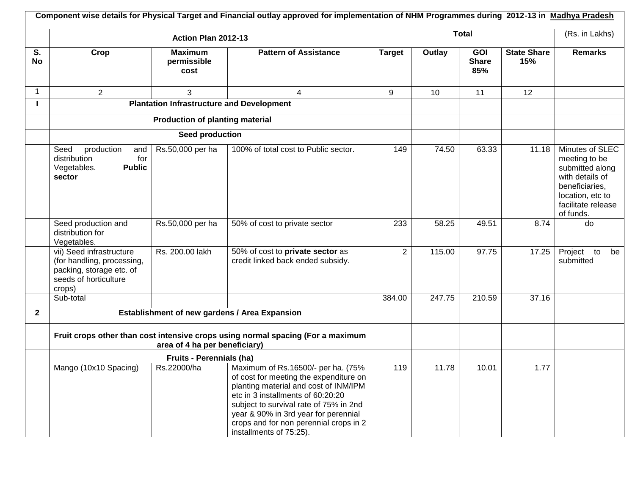|                | Component wise details for Physical Target and Financial outlay approved for implementation of NHM Programmes during 2012-13 in Madhya Pradesh |                                                  |                                                                                                                                                                                                                                                                                                                   |               |        |                                   |                           |                                                                                                                                                 |  |  |
|----------------|------------------------------------------------------------------------------------------------------------------------------------------------|--------------------------------------------------|-------------------------------------------------------------------------------------------------------------------------------------------------------------------------------------------------------------------------------------------------------------------------------------------------------------------|---------------|--------|-----------------------------------|---------------------------|-------------------------------------------------------------------------------------------------------------------------------------------------|--|--|
|                | Action Plan 2012-13                                                                                                                            |                                                  |                                                                                                                                                                                                                                                                                                                   |               | Total  |                                   |                           |                                                                                                                                                 |  |  |
| S.<br>No       | Crop                                                                                                                                           | <b>Maximum</b><br>permissible<br>cost            | <b>Pattern of Assistance</b>                                                                                                                                                                                                                                                                                      | <b>Target</b> | Outlay | <b>GOI</b><br><b>Share</b><br>85% | <b>State Share</b><br>15% | Remarks                                                                                                                                         |  |  |
| 1              | 2                                                                                                                                              | 3                                                | $\overline{4}$                                                                                                                                                                                                                                                                                                    | 9             | 10     | 11                                | 12                        |                                                                                                                                                 |  |  |
|                |                                                                                                                                                | <b>Plantation Infrastructure and Development</b> |                                                                                                                                                                                                                                                                                                                   |               |        |                                   |                           |                                                                                                                                                 |  |  |
|                |                                                                                                                                                | <b>Production of planting material</b>           |                                                                                                                                                                                                                                                                                                                   |               |        |                                   |                           |                                                                                                                                                 |  |  |
|                |                                                                                                                                                | Seed production                                  |                                                                                                                                                                                                                                                                                                                   |               |        |                                   |                           |                                                                                                                                                 |  |  |
|                | Seed<br>production<br>and<br>distribution<br>for<br><b>Public</b><br>Vegetables.<br>sector                                                     | Rs.50,000 per ha                                 | 100% of total cost to Public sector.                                                                                                                                                                                                                                                                              | 149           | 74.50  | 63.33                             | 11.18                     | Minutes of SLEC<br>meeting to be<br>submitted along<br>with details of<br>beneficiaries,<br>location, etc to<br>facilitate release<br>of funds. |  |  |
|                | Seed production and<br>distribution for<br>Vegetables.                                                                                         | Rs.50,000 per ha                                 | 50% of cost to private sector                                                                                                                                                                                                                                                                                     | 233           | 58.25  | 49.51                             | 8.74                      | do                                                                                                                                              |  |  |
|                | vii) Seed infrastructure<br>(for handling, processing,<br>packing, storage etc. of<br>seeds of horticulture<br>crops)                          | Rs. 200.00 lakh                                  | 50% of cost to private sector as<br>credit linked back ended subsidy.                                                                                                                                                                                                                                             | 2             | 115.00 | 97.75                             | 17.25                     | Project<br>to<br>be<br>submitted                                                                                                                |  |  |
|                | Sub-total                                                                                                                                      |                                                  |                                                                                                                                                                                                                                                                                                                   | 384.00        | 247.75 | 210.59                            | 37.16                     |                                                                                                                                                 |  |  |
| $\overline{2}$ |                                                                                                                                                |                                                  | Establishment of new gardens / Area Expansion                                                                                                                                                                                                                                                                     |               |        |                                   |                           |                                                                                                                                                 |  |  |
|                | Fruit crops other than cost intensive crops using normal spacing (For a maximum<br>area of 4 ha per beneficiary)                               |                                                  |                                                                                                                                                                                                                                                                                                                   |               |        |                                   |                           |                                                                                                                                                 |  |  |
|                | <b>Fruits - Perennials (ha)</b>                                                                                                                |                                                  |                                                                                                                                                                                                                                                                                                                   |               |        |                                   |                           |                                                                                                                                                 |  |  |
|                | Mango (10x10 Spacing)                                                                                                                          | Rs.22000/ha                                      | Maximum of Rs.16500/- per ha. (75%<br>of cost for meeting the expenditure on<br>planting material and cost of INM/IPM<br>etc in 3 installments of 60:20:20<br>subject to survival rate of 75% in 2nd<br>year & 90% in 3rd year for perennial<br>crops and for non perennial crops in 2<br>installments of 75:25). | 119           | 11.78  | 10.01                             | 1.77                      |                                                                                                                                                 |  |  |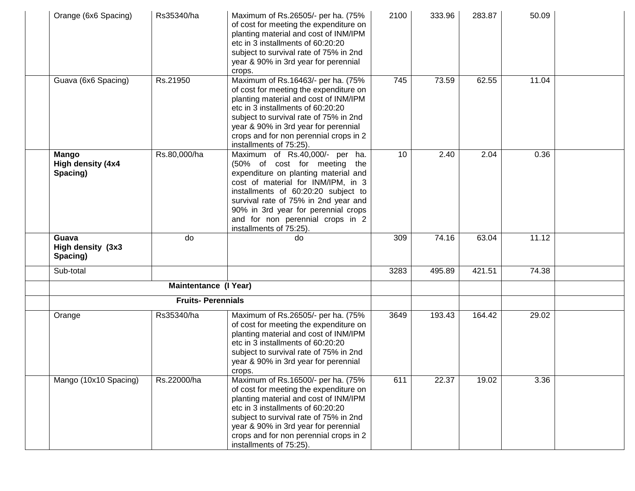| Orange (6x6 Spacing)                          | Rs35340/ha                   | Maximum of Rs.26505/- per ha. (75%<br>of cost for meeting the expenditure on<br>planting material and cost of INM/IPM<br>etc in 3 installments of 60:20:20<br>subject to survival rate of 75% in 2nd<br>year & 90% in 3rd year for perennial<br>crops.                                                                            | 2100 | 333.96 | 283.87 | 50.09 |  |
|-----------------------------------------------|------------------------------|-----------------------------------------------------------------------------------------------------------------------------------------------------------------------------------------------------------------------------------------------------------------------------------------------------------------------------------|------|--------|--------|-------|--|
| Guava (6x6 Spacing)                           | Rs.21950                     | Maximum of Rs.16463/- per ha. (75%<br>of cost for meeting the expenditure on<br>planting material and cost of INM/IPM<br>etc in 3 installments of 60:20:20<br>subject to survival rate of 75% in 2nd<br>year & 90% in 3rd year for perennial<br>crops and for non perennial crops in 2<br>installments of 75:25).                 | 745  | 73.59  | 62.55  | 11.04 |  |
| <b>Mango</b><br>High density (4x4<br>Spacing) | Rs.80,000/ha                 | Maximum of Rs.40,000/- per ha.<br>(50% of cost for meeting the<br>expenditure on planting material and<br>cost of material for INM/IPM, in 3<br>installments of 60:20:20 subject to<br>survival rate of 75% in 2nd year and<br>90% in 3rd year for perennial crops<br>and for non perennial crops in 2<br>installments of 75:25). | 10   | 2.40   | 2.04   | 0.36  |  |
| Guava<br>High density (3x3<br>Spacing)        | do                           | do                                                                                                                                                                                                                                                                                                                                | 309  | 74.16  | 63.04  | 11.12 |  |
| Sub-total                                     |                              |                                                                                                                                                                                                                                                                                                                                   | 3283 | 495.89 | 421.51 | 74.38 |  |
|                                               | <b>Maintentance (I Year)</b> |                                                                                                                                                                                                                                                                                                                                   |      |        |        |       |  |
|                                               | <b>Fruits-Perennials</b>     |                                                                                                                                                                                                                                                                                                                                   |      |        |        |       |  |
| Orange                                        | Rs35340/ha                   | Maximum of Rs.26505/- per ha. (75%<br>of cost for meeting the expenditure on<br>planting material and cost of INM/IPM<br>etc in 3 installments of 60:20:20<br>subject to survival rate of 75% in 2nd<br>year & 90% in 3rd year for perennial<br>crops.                                                                            | 3649 | 193.43 | 164.42 | 29.02 |  |
| Mango (10x10 Spacing)                         | Rs.22000/ha                  | Maximum of Rs.16500/- per ha. (75%<br>of cost for meeting the expenditure on<br>planting material and cost of INM/IPM<br>etc in 3 installments of 60:20:20<br>subject to survival rate of 75% in 2nd<br>year & 90% in 3rd year for perennial<br>crops and for non perennial crops in 2<br>installments of 75:25).                 | 611  | 22.37  | 19.02  | 3.36  |  |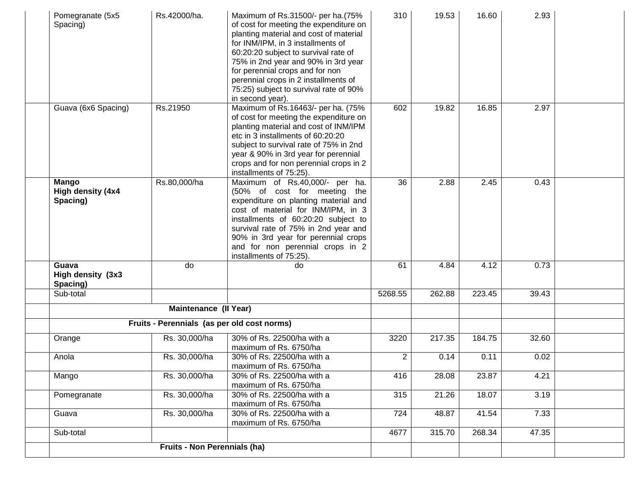| Pomegranate (5x5<br>Spacing)           | Rs.42000/ha.                                | Maximum of Rs.31500/- per ha.(75%<br>of cost for meeting the expenditure on<br>planting material and cost of material<br>for INM/IPM, in 3 installments of<br>60:20:20 subject to survival rate of<br>75% in 2nd year and 90% in 3rd year<br>for perennial crops and for non<br>perennial crops in 2 installments of<br>75:25) subject to survival rate of 90%<br>in second year). | 310            | 19.53  | 16.60  | 2.93  |  |
|----------------------------------------|---------------------------------------------|------------------------------------------------------------------------------------------------------------------------------------------------------------------------------------------------------------------------------------------------------------------------------------------------------------------------------------------------------------------------------------|----------------|--------|--------|-------|--|
| Guava (6x6 Spacing)                    | Rs.21950                                    | Maximum of Rs.16463/- per ha. (75%<br>of cost for meeting the expenditure on<br>planting material and cost of INM/IPM<br>etc in 3 installments of 60:20:20<br>subject to survival rate of 75% in 2nd<br>year & 90% in 3rd year for perennial<br>crops and for non perennial crops in 2<br>installments of 75:25).                                                                  | 602            | 19.82  | 16.85  | 2.97  |  |
| Mango<br>High density (4x4<br>Spacing) | Rs.80,000/ha                                | Maximum of Rs.40,000/- per ha.<br>(50% of cost for meeting the<br>expenditure on planting material and<br>cost of material for INM/IPM, in 3<br>installments of 60:20:20 subject to<br>survival rate of 75% in 2nd year and<br>90% in 3rd year for perennial crops<br>and for non perennial crops in 2<br>installments of 75:25).                                                  | 36             | 2.88   | 2.45   | 0.43  |  |
| Guava<br>High density (3x3<br>Spacing) | do                                          | do                                                                                                                                                                                                                                                                                                                                                                                 | 61             | 4.84   | 4.12   | 0.73  |  |
| Sub-total                              |                                             |                                                                                                                                                                                                                                                                                                                                                                                    | 5268.55        | 262.88 | 223.45 | 39.43 |  |
|                                        | <b>Maintenance (II Year)</b>                |                                                                                                                                                                                                                                                                                                                                                                                    |                |        |        |       |  |
|                                        | Fruits - Perennials (as per old cost norms) |                                                                                                                                                                                                                                                                                                                                                                                    |                |        |        |       |  |
| Orange                                 | Rs. 30,000/ha                               | 30% of Rs. 22500/ha with a<br>maximum of Rs. 6750/ha                                                                                                                                                                                                                                                                                                                               | 3220           | 217.35 | 184.75 | 32.60 |  |
| Anola                                  | Rs. 30,000/ha                               | 30% of Rs. 22500/ha with a<br>maximum of Rs. 6750/ha                                                                                                                                                                                                                                                                                                                               | $\overline{2}$ | 0.14   | 0.11   | 0.02  |  |
| Mango                                  | Rs. 30,000/ha                               | 30% of Rs. 22500/ha with a<br>maximum of Rs. 6750/ha                                                                                                                                                                                                                                                                                                                               | 416            | 28.08  | 23.87  | 4.21  |  |
| Pomegranate                            | Rs. 30,000/ha                               | 30% of Rs. 22500/ha with a<br>maximum of Rs. 6750/ha                                                                                                                                                                                                                                                                                                                               | 315            | 21.26  | 18.07  | 3.19  |  |
| Guava                                  | Rs. 30,000/ha                               | 30% of Rs. 22500/ha with a<br>maximum of Rs. 6750/ha                                                                                                                                                                                                                                                                                                                               | 724            | 48.87  | 41.54  | 7.33  |  |
| Sub-total                              |                                             |                                                                                                                                                                                                                                                                                                                                                                                    | 4677           | 315.70 | 268.34 | 47.35 |  |
|                                        | Fruits - Non Perennials (ha)                |                                                                                                                                                                                                                                                                                                                                                                                    |                |        |        |       |  |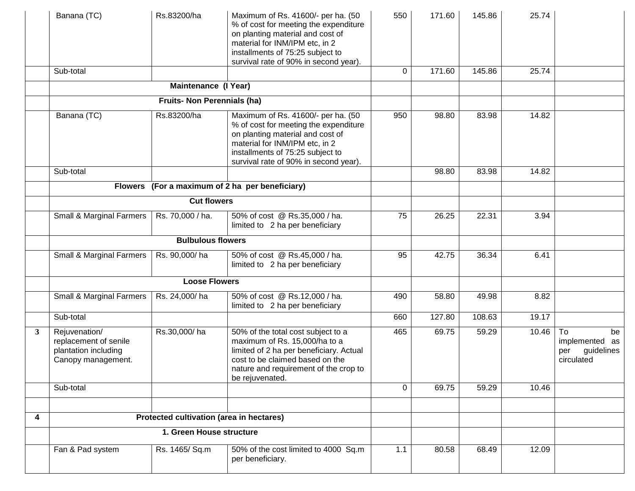|              | Banana (TC)                                                                          | Rs.83200/ha                              | Maximum of Rs. 41600/- per ha. (50<br>% of cost for meeting the expenditure<br>on planting material and cost of<br>material for INM/IPM etc, in 2<br>installments of 75:25 subject to<br>survival rate of 90% in second year). | 550             | 171.60 | 145.86 | 25.74 |                                                               |
|--------------|--------------------------------------------------------------------------------------|------------------------------------------|--------------------------------------------------------------------------------------------------------------------------------------------------------------------------------------------------------------------------------|-----------------|--------|--------|-------|---------------------------------------------------------------|
|              | Sub-total                                                                            |                                          |                                                                                                                                                                                                                                | 0               | 171.60 | 145.86 | 25.74 |                                                               |
|              |                                                                                      | Maintenance (I Year)                     |                                                                                                                                                                                                                                |                 |        |        |       |                                                               |
|              |                                                                                      | <b>Fruits- Non Perennials (ha)</b>       |                                                                                                                                                                                                                                |                 |        |        |       |                                                               |
|              | Banana (TC)                                                                          | Rs.83200/ha                              | Maximum of Rs. 41600/- per ha. (50<br>% of cost for meeting the expenditure<br>on planting material and cost of<br>material for INM/IPM etc, in 2<br>installments of 75:25 subject to<br>survival rate of 90% in second year). | 950             | 98.80  | 83.98  | 14.82 |                                                               |
|              | Sub-total                                                                            |                                          |                                                                                                                                                                                                                                |                 | 98.80  | 83.98  | 14.82 |                                                               |
|              |                                                                                      |                                          | Flowers (For a maximum of 2 ha per beneficiary)                                                                                                                                                                                |                 |        |        |       |                                                               |
|              |                                                                                      | <b>Cut flowers</b>                       |                                                                                                                                                                                                                                |                 |        |        |       |                                                               |
|              | Small & Marginal Farmers                                                             | Rs. 70,000 / ha.                         | 50% of cost @ Rs.35,000 / ha.<br>limited to 2 ha per beneficiary                                                                                                                                                               | $\overline{75}$ | 26.25  | 22.31  | 3.94  |                                                               |
|              |                                                                                      | <b>Bulbulous flowers</b>                 |                                                                                                                                                                                                                                |                 |        |        |       |                                                               |
|              | Small & Marginal Farmers                                                             | Rs. 90,000/ha                            | 50% of cost @ Rs.45,000 / ha.<br>limited to 2 ha per beneficiary                                                                                                                                                               | 95              | 42.75  | 36.34  | 6.41  |                                                               |
|              |                                                                                      | <b>Loose Flowers</b>                     |                                                                                                                                                                                                                                |                 |        |        |       |                                                               |
|              | Small & Marginal Farmers                                                             | Rs. 24,000/ha                            | 50% of cost @ Rs.12,000 / ha.<br>limited to 2 ha per beneficiary                                                                                                                                                               | 490             | 58.80  | 49.98  | 8.82  |                                                               |
|              | Sub-total                                                                            |                                          |                                                                                                                                                                                                                                | 660             | 127.80 | 108.63 | 19.17 |                                                               |
| $\mathbf{3}$ | Rejuvenation/<br>replacement of senile<br>plantation including<br>Canopy management. | Rs.30,000/ha                             | 50% of the total cost subject to a<br>maximum of Rs. 15,000/ha to a<br>limited of 2 ha per beneficiary. Actual<br>cost to be claimed based on the<br>nature and requirement of the crop to<br>be rejuvenated.                  | 465             | 69.75  | 59.29  | 10.46 | To<br>be<br>implemented as<br>guidelines<br>per<br>circulated |
|              | Sub-total                                                                            |                                          |                                                                                                                                                                                                                                | 0               | 69.75  | 59.29  | 10.46 |                                                               |
|              |                                                                                      |                                          |                                                                                                                                                                                                                                |                 |        |        |       |                                                               |
| 4            |                                                                                      | Protected cultivation (area in hectares) |                                                                                                                                                                                                                                |                 |        |        |       |                                                               |
|              |                                                                                      | 1. Green House structure                 |                                                                                                                                                                                                                                |                 |        |        |       |                                                               |
|              | Fan & Pad system                                                                     | Rs. 1465/ Sq.m                           | 50% of the cost limited to 4000 Sq.m<br>per beneficiary.                                                                                                                                                                       | 1.1             | 80.58  | 68.49  | 12.09 |                                                               |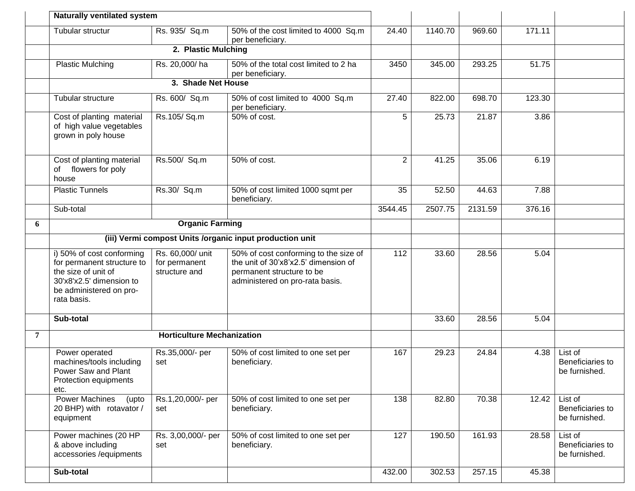|   | <b>Naturally ventilated system</b>                                                                                                                   |                                                    |                                                                                                                                               |                |         |         |        |                                              |
|---|------------------------------------------------------------------------------------------------------------------------------------------------------|----------------------------------------------------|-----------------------------------------------------------------------------------------------------------------------------------------------|----------------|---------|---------|--------|----------------------------------------------|
|   | Tubular structur                                                                                                                                     | Rs. 935/ Sq.m                                      | 50% of the cost limited to 4000 Sq.m<br>per beneficiary.                                                                                      | 24.40          | 1140.70 | 969.60  | 171.11 |                                              |
|   |                                                                                                                                                      | 2. Plastic Mulching                                |                                                                                                                                               |                |         |         |        |                                              |
|   | <b>Plastic Mulching</b>                                                                                                                              | Rs. 20,000/ha                                      | 50% of the total cost limited to 2 ha<br>per beneficiary.                                                                                     | 3450           | 345.00  | 293.25  | 51.75  |                                              |
|   |                                                                                                                                                      | 3. Shade Net House                                 |                                                                                                                                               |                |         |         |        |                                              |
|   | Tubular structure                                                                                                                                    | Rs. 600/ Sq.m                                      | 50% of cost limited to 4000 Sq.m<br>per beneficiary.                                                                                          | 27.40          | 822.00  | 698.70  | 123.30 |                                              |
|   | Cost of planting material<br>of high value vegetables<br>grown in poly house                                                                         | Rs.105/Sq.m                                        | 50% of cost.                                                                                                                                  | 5              | 25.73   | 21.87   | 3.86   |                                              |
|   | Cost of planting material<br>of flowers for poly<br>house                                                                                            | Rs.500/ Sq.m                                       | 50% of cost.                                                                                                                                  | $\overline{2}$ | 41.25   | 35.06   | 6.19   |                                              |
|   | <b>Plastic Tunnels</b>                                                                                                                               | Rs.30/ Sq.m                                        | 50% of cost limited 1000 sqmt per<br>beneficiary.                                                                                             | 35             | 52.50   | 44.63   | 7.88   |                                              |
|   | Sub-total                                                                                                                                            |                                                    |                                                                                                                                               | 3544.45        | 2507.75 | 2131.59 | 376.16 |                                              |
| 6 |                                                                                                                                                      | <b>Organic Farming</b>                             |                                                                                                                                               |                |         |         |        |                                              |
|   | (iii) Vermi compost Units /organic input production unit                                                                                             |                                                    |                                                                                                                                               |                |         |         |        |                                              |
|   | i) 50% of cost conforming<br>for permanent structure to<br>the size of unit of<br>30'x8'x2.5' dimension to<br>be administered on pro-<br>rata basis. | Rs. 60,000/ unit<br>for permanent<br>structure and | 50% of cost conforming to the size of<br>the unit of 30'x8'x2.5' dimension of<br>permanent structure to be<br>administered on pro-rata basis. | 112            | 33.60   | 28.56   | 5.04   |                                              |
|   | Sub-total                                                                                                                                            |                                                    |                                                                                                                                               |                | 33.60   | 28.56   | 5.04   |                                              |
| 7 |                                                                                                                                                      | <b>Horticulture Mechanization</b>                  |                                                                                                                                               |                |         |         |        |                                              |
|   | Power operated<br>machines/tools including<br>Power Saw and Plant<br>Protection equipments<br>etc.                                                   | Rs.35,000/- per<br>set                             | 50% of cost limited to one set per<br>beneficiary.                                                                                            | 167            | 29.23   | 24.84   | 4.38   | List of<br>Beneficiaries to<br>be furnished. |
|   | <b>Power Machines</b><br>(upto<br>20 BHP) with rotavator /<br>equipment                                                                              | Rs.1,20,000/- per<br>set                           | 50% of cost limited to one set per<br>beneficiary.                                                                                            | 138            | 82.80   | 70.38   | 12.42  | List of<br>Beneficiaries to<br>be furnished. |
|   | Power machines (20 HP<br>& above including<br>accessories /equipments                                                                                | Rs. 3,00,000/- per<br>set                          | 50% of cost limited to one set per<br>beneficiary.                                                                                            | 127            | 190.50  | 161.93  | 28.58  | List of<br>Beneficiaries to<br>be furnished. |
|   | Sub-total                                                                                                                                            |                                                    |                                                                                                                                               | 432.00         | 302.53  | 257.15  | 45.38  |                                              |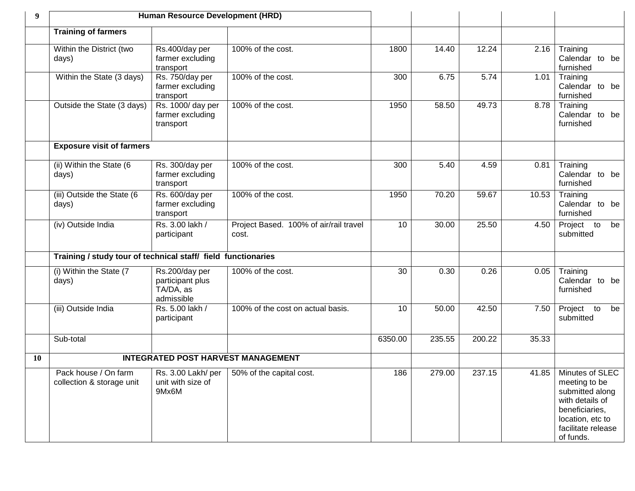| 9         | Human Resource Development (HRD)                              |                                                               |                                                 |         |        |        |       |                                                                                                                                                 |
|-----------|---------------------------------------------------------------|---------------------------------------------------------------|-------------------------------------------------|---------|--------|--------|-------|-------------------------------------------------------------------------------------------------------------------------------------------------|
|           | <b>Training of farmers</b>                                    |                                                               |                                                 |         |        |        |       |                                                                                                                                                 |
|           | Within the District (two<br>days)                             | Rs.400/day per<br>farmer excluding<br>transport               | 100% of the cost.                               | 1800    | 14.40  | 12.24  | 2.16  | Training<br>Calendar to be<br>furnished                                                                                                         |
|           | Within the State (3 days)                                     | Rs. 750/day per<br>farmer excluding<br>transport              | 100% of the cost.                               | 300     | 6.75   | 5.74   | 1.01  | Training<br>Calendar to be<br>furnished                                                                                                         |
|           | Outside the State (3 days)                                    | Rs. 1000/ day per<br>farmer excluding<br>transport            | 100% of the cost.                               | 1950    | 58.50  | 49.73  | 8.78  | Training<br>Calendar to be<br>furnished                                                                                                         |
|           | <b>Exposure visit of farmers</b>                              |                                                               |                                                 |         |        |        |       |                                                                                                                                                 |
|           | (ii) Within the State (6<br>days)                             | Rs. 300/day per<br>farmer excluding<br>transport              | 100% of the cost.                               | 300     | 5.40   | 4.59   | 0.81  | Training<br>Calendar to be<br>furnished                                                                                                         |
|           | (iii) Outside the State (6<br>days)                           | Rs. 600/day per<br>farmer excluding<br>transport              | 100% of the cost.                               | 1950    | 70.20  | 59.67  | 10.53 | Training<br>Calendar to be<br>furnished                                                                                                         |
|           | (iv) Outside India                                            | Rs. 3.00 lakh /<br>participant                                | Project Based. 100% of air/rail travel<br>cost. | 10      | 30.00  | 25.50  | 4.50  | Project to<br>be<br>submitted                                                                                                                   |
|           | Training / study tour of technical staff/ field functionaries |                                                               |                                                 |         |        |        |       |                                                                                                                                                 |
|           | (i) Within the State (7<br>days)                              | Rs.200/day per<br>participant plus<br>TA/DA, as<br>admissible | 100% of the cost.                               | 30      | 0.30   | 0.26   | 0.05  | Training<br>Calendar to be<br>furnished                                                                                                         |
|           | (iii) Outside India                                           | Rs. 5.00 lakh /<br>participant                                | 100% of the cost on actual basis.               | 10      | 50.00  | 42.50  | 7.50  | Project<br>to<br>be<br>submitted                                                                                                                |
|           | Sub-total                                                     |                                                               |                                                 | 6350.00 | 235.55 | 200.22 | 35.33 |                                                                                                                                                 |
| <b>10</b> | <b>INTEGRATED POST HARVEST MANAGEMENT</b>                     |                                                               |                                                 |         |        |        |       |                                                                                                                                                 |
|           | Pack house / On farm<br>collection & storage unit             | Rs. 3.00 Lakh/ per<br>unit with size of<br>9Mx6M              | 50% of the capital cost.                        | 186     | 279.00 | 237.15 | 41.85 | Minutes of SLEC<br>meeting to be<br>submitted along<br>with details of<br>beneficiaries,<br>location, etc to<br>facilitate release<br>of funds. |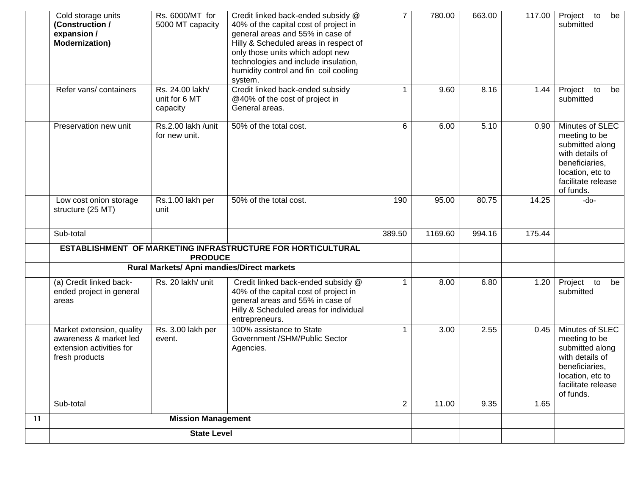|    | Cold storage units<br>(Construction /<br>expansion /<br><b>Modernization)</b>                     | Rs. 6000/MT for<br>5000 MT capacity          | Credit linked back-ended subsidy @<br>40% of the capital cost of project in<br>general areas and 55% in case of<br>Hilly & Scheduled areas in respect of<br>only those units which adopt new<br>technologies and include insulation,<br>humidity control and fin coil cooling<br>system. | $\overline{7}$ | 780.00  | 663.00 | 117.00 | Project<br>to<br>be<br>submitted                                                                                                                |
|----|---------------------------------------------------------------------------------------------------|----------------------------------------------|------------------------------------------------------------------------------------------------------------------------------------------------------------------------------------------------------------------------------------------------------------------------------------------|----------------|---------|--------|--------|-------------------------------------------------------------------------------------------------------------------------------------------------|
|    | Refer vans/ containers                                                                            | Rs. 24.00 lakh/<br>unit for 6 MT<br>capacity | Credit linked back-ended subsidy<br>@40% of the cost of project in<br>General areas.                                                                                                                                                                                                     |                | 9.60    | 8.16   | 1.44   | Project<br>to<br>be<br>submitted                                                                                                                |
|    | Preservation new unit                                                                             | Rs.2.00 lakh /unit<br>for new unit.          | 50% of the total cost.                                                                                                                                                                                                                                                                   | 6              | 6.00    | 5.10   | 0.90   | Minutes of SLEC<br>meeting to be<br>submitted along<br>with details of<br>beneficiaries,<br>location, etc to<br>facilitate release<br>of funds. |
|    | Low cost onion storage<br>structure (25 MT)                                                       | Rs.1.00 lakh per<br>unit                     | 50% of the total cost.                                                                                                                                                                                                                                                                   | 190            | 95.00   | 80.75  | 14.25  | $-do-$                                                                                                                                          |
|    | Sub-total                                                                                         |                                              |                                                                                                                                                                                                                                                                                          | 389.50         | 1169.60 | 994.16 | 175.44 |                                                                                                                                                 |
|    |                                                                                                   | <b>PRODUCE</b>                               | ESTABLISHMENT OF MARKETING INFRASTRUCTURE FOR HORTICULTURAL                                                                                                                                                                                                                              |                |         |        |        |                                                                                                                                                 |
|    |                                                                                                   | Rural Markets/ Apni mandies/Direct markets   |                                                                                                                                                                                                                                                                                          |                |         |        |        |                                                                                                                                                 |
|    | (a) Credit linked back-<br>ended project in general<br>areas                                      | Rs. 20 lakh/ unit                            | Credit linked back-ended subsidy @<br>40% of the capital cost of project in<br>general areas and 55% in case of<br>Hilly & Scheduled areas for individual<br>entrepreneurs.                                                                                                              |                | 8.00    | 6.80   | 1.20   | Project<br>to<br>be<br>submitted                                                                                                                |
|    | Market extension, quality<br>awareness & market led<br>extension activities for<br>fresh products | Rs. 3.00 lakh per<br>event.                  | 100% assistance to State<br>Government /SHM/Public Sector<br>Agencies.                                                                                                                                                                                                                   |                | 3.00    | 2.55   | 0.45   | Minutes of SLEC<br>meeting to be<br>submitted along<br>with details of<br>beneficiaries,<br>location, etc to<br>facilitate release<br>of funds. |
|    | Sub-total                                                                                         |                                              |                                                                                                                                                                                                                                                                                          | $\overline{2}$ | 11.00   | 9.35   | 1.65   |                                                                                                                                                 |
| 11 |                                                                                                   | <b>Mission Management</b>                    |                                                                                                                                                                                                                                                                                          |                |         |        |        |                                                                                                                                                 |
|    | <b>State Level</b>                                                                                |                                              |                                                                                                                                                                                                                                                                                          |                |         |        |        |                                                                                                                                                 |